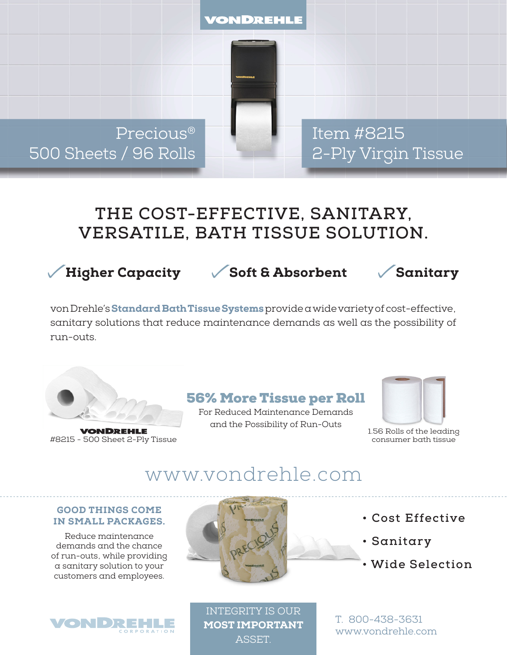

Precious® 500 Sheets / 96 Rolls Item #8215 2-Ply Virgin Tissue

# **THE COST-EFFECTIVE, SANITARY, VERSATILE, BATH TISSUE SOLUTION.**

Higher Capacity Soft & Absorbent Sanitary

von Drehle's Standard Bath Tissue Systems provide a wide variety of cost-effective, sanitary solutions that reduce maintenance demands as well as the possibility of run-outs.



**VONDREHLE** #8215 - 500 Sheet 2-Ply Tissue

### 56% More Tissue per Roll

For Reduced Maintenance Demands and the Possibility of Run-Outs



1.56 Rolls of the leading consumer bath tissue

# www.vondrehle.com

#### GOOD THINGS COME IN SMALL PACKAGES.

Reduce maintenance demands and the chance of run-outs, while providing a sanitary solution to your customers and employees.

**VON DREHL** 



- **Cost Effective**
- **Sanitary**
- **Wide Selection**

INTEGRITY IS OUR MOST IMPORTANT **ASSET.** 

T. 800-438-3631 www.vondrehle.com